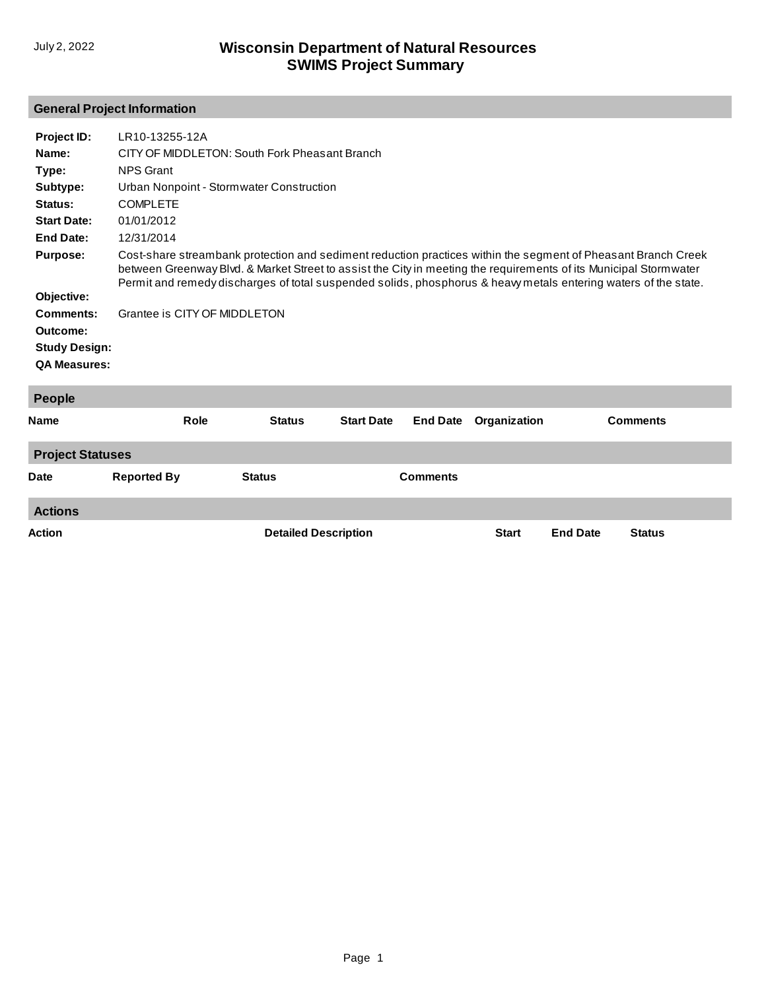## **General Project Information**

| Project ID:          | LR10-13255-12A                                                                                                                                                                                                                                                                                                                                        |               |                   |                 |              |                 |  |  |
|----------------------|-------------------------------------------------------------------------------------------------------------------------------------------------------------------------------------------------------------------------------------------------------------------------------------------------------------------------------------------------------|---------------|-------------------|-----------------|--------------|-----------------|--|--|
| Name:                | CITY OF MIDDLETON: South Fork Pheasant Branch                                                                                                                                                                                                                                                                                                         |               |                   |                 |              |                 |  |  |
| Type:                | <b>NPS Grant</b>                                                                                                                                                                                                                                                                                                                                      |               |                   |                 |              |                 |  |  |
| Subtype:             | Urban Nonpoint - Stormwater Construction                                                                                                                                                                                                                                                                                                              |               |                   |                 |              |                 |  |  |
| Status:              | <b>COMPLETE</b>                                                                                                                                                                                                                                                                                                                                       |               |                   |                 |              |                 |  |  |
| <b>Start Date:</b>   | 01/01/2012                                                                                                                                                                                                                                                                                                                                            |               |                   |                 |              |                 |  |  |
| <b>End Date:</b>     | 12/31/2014                                                                                                                                                                                                                                                                                                                                            |               |                   |                 |              |                 |  |  |
| <b>Purpose:</b>      | Cost-share streambank protection and sediment reduction practices within the segment of Pheasant Branch Creek<br>between Greenway Blvd. & Market Street to assist the City in meeting the requirements of its Municipal Stormwater<br>Permit and remedy discharges of total suspended solids, phosphorus & heavy metals entering waters of the state. |               |                   |                 |              |                 |  |  |
| Objective:           |                                                                                                                                                                                                                                                                                                                                                       |               |                   |                 |              |                 |  |  |
| <b>Comments:</b>     | Grantee is CITY OF MIDDLETON                                                                                                                                                                                                                                                                                                                          |               |                   |                 |              |                 |  |  |
| Outcome:             |                                                                                                                                                                                                                                                                                                                                                       |               |                   |                 |              |                 |  |  |
| <b>Study Design:</b> |                                                                                                                                                                                                                                                                                                                                                       |               |                   |                 |              |                 |  |  |
| <b>QA Measures:</b>  |                                                                                                                                                                                                                                                                                                                                                       |               |                   |                 |              |                 |  |  |
| <b>People</b>        |                                                                                                                                                                                                                                                                                                                                                       |               |                   |                 |              |                 |  |  |
| Name                 | <b>Role</b>                                                                                                                                                                                                                                                                                                                                           | <b>Status</b> | <b>Start Date</b> | <b>End Date</b> | Organization | <b>Comments</b> |  |  |
|                      |                                                                                                                                                                                                                                                                                                                                                       |               |                   |                 |              |                 |  |  |

| <b>Project Statuses</b> |                    |                             |                 |              |                 |               |  |  |
|-------------------------|--------------------|-----------------------------|-----------------|--------------|-----------------|---------------|--|--|
| <b>Date</b>             | <b>Reported By</b> | <b>Status</b>               | <b>Comments</b> |              |                 |               |  |  |
| <b>Actions</b>          |                    |                             |                 |              |                 |               |  |  |
| <b>Action</b>           |                    | <b>Detailed Description</b> |                 | <b>Start</b> | <b>End Date</b> | <b>Status</b> |  |  |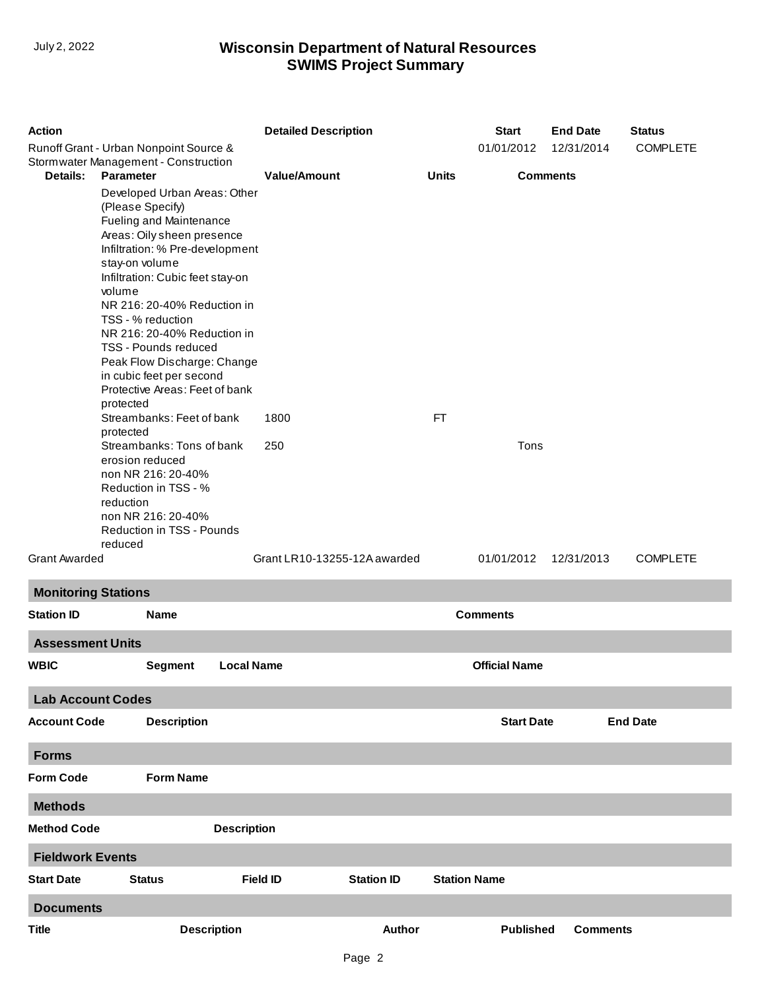## **SWIMS Project Summary** July 2, 2022 **Wisconsin Department of Natural Resources**

| <b>Action</b><br>Runoff Grant - Urban Nonpoint Source & |                                                                                                                                                                                                                                                                                                                                                                                                                                                                                                                                                                                               |                                    | <b>Detailed Description</b> |                           |                         | <b>End Date</b><br>12/31/2014 | <b>Status</b><br><b>COMPLETE</b> |  |
|---------------------------------------------------------|-----------------------------------------------------------------------------------------------------------------------------------------------------------------------------------------------------------------------------------------------------------------------------------------------------------------------------------------------------------------------------------------------------------------------------------------------------------------------------------------------------------------------------------------------------------------------------------------------|------------------------------------|-----------------------------|---------------------------|-------------------------|-------------------------------|----------------------------------|--|
| Stormwater Management - Construction                    |                                                                                                                                                                                                                                                                                                                                                                                                                                                                                                                                                                                               |                                    |                             |                           | 01/01/2012              |                               |                                  |  |
| Details:                                                | <b>Parameter</b><br>Developed Urban Areas: Other<br>(Please Specify)<br>Fueling and Maintenance<br>Areas: Oily sheen presence<br>Infiltration: % Pre-development<br>stay-on volume<br>Infiltration: Cubic feet stay-on<br>volume<br>NR 216: 20-40% Reduction in<br>TSS - % reduction<br>NR 216: 20-40% Reduction in<br>TSS - Pounds reduced<br>Peak Flow Discharge: Change<br>in cubic feet per second<br>Protective Areas: Feet of bank<br>protected<br>Streambanks: Feet of bank<br>protected<br>Streambanks: Tons of bank<br>erosion reduced<br>non NR 216: 20-40%<br>Reduction in TSS - % | <b>Value/Amount</b><br>1800<br>250 |                             | <b>Units</b><br><b>FT</b> | <b>Comments</b><br>Tons |                               |                                  |  |
| <b>Grant Awarded</b>                                    | reduction<br>non NR 216: 20-40%<br>Reduction in TSS - Pounds<br>reduced                                                                                                                                                                                                                                                                                                                                                                                                                                                                                                                       | Grant LR10-13255-12A awarded       |                             |                           | 01/01/2012              | 12/31/2013                    | <b>COMPLETE</b>                  |  |
| <b>Monitoring Stations</b>                              |                                                                                                                                                                                                                                                                                                                                                                                                                                                                                                                                                                                               |                                    |                             |                           |                         |                               |                                  |  |
| <b>Station ID</b>                                       | <b>Name</b>                                                                                                                                                                                                                                                                                                                                                                                                                                                                                                                                                                                   |                                    |                             |                           | <b>Comments</b>         |                               |                                  |  |
| <b>Assessment Units</b>                                 |                                                                                                                                                                                                                                                                                                                                                                                                                                                                                                                                                                                               |                                    |                             |                           |                         |                               |                                  |  |
| <b>WBIC</b>                                             | <b>Local Name</b><br><b>Segment</b>                                                                                                                                                                                                                                                                                                                                                                                                                                                                                                                                                           |                                    |                             |                           | <b>Official Name</b>    |                               |                                  |  |
| <b>Lab Account Codes</b>                                |                                                                                                                                                                                                                                                                                                                                                                                                                                                                                                                                                                                               |                                    |                             |                           |                         |                               |                                  |  |
| <b>Account Code</b>                                     | <b>Description</b>                                                                                                                                                                                                                                                                                                                                                                                                                                                                                                                                                                            |                                    |                             |                           | <b>Start Date</b>       |                               | <b>End Date</b>                  |  |
| <b>Forms</b>                                            |                                                                                                                                                                                                                                                                                                                                                                                                                                                                                                                                                                                               |                                    |                             |                           |                         |                               |                                  |  |
| <b>Form Code</b>                                        | <b>Form Name</b>                                                                                                                                                                                                                                                                                                                                                                                                                                                                                                                                                                              |                                    |                             |                           |                         |                               |                                  |  |
| <b>Methods</b>                                          |                                                                                                                                                                                                                                                                                                                                                                                                                                                                                                                                                                                               |                                    |                             |                           |                         |                               |                                  |  |
| <b>Method Code</b>                                      | <b>Description</b>                                                                                                                                                                                                                                                                                                                                                                                                                                                                                                                                                                            |                                    |                             |                           |                         |                               |                                  |  |
| <b>Fieldwork Events</b>                                 |                                                                                                                                                                                                                                                                                                                                                                                                                                                                                                                                                                                               |                                    |                             |                           |                         |                               |                                  |  |
| <b>Start Date</b>                                       | <b>Status</b>                                                                                                                                                                                                                                                                                                                                                                                                                                                                                                                                                                                 | <b>Field ID</b>                    | <b>Station ID</b>           | <b>Station Name</b>       |                         |                               |                                  |  |
| <b>Documents</b>                                        |                                                                                                                                                                                                                                                                                                                                                                                                                                                                                                                                                                                               |                                    |                             |                           |                         |                               |                                  |  |
| <b>Title</b>                                            | <b>Description</b>                                                                                                                                                                                                                                                                                                                                                                                                                                                                                                                                                                            |                                    | Author                      |                           | <b>Published</b>        | <b>Comments</b>               |                                  |  |